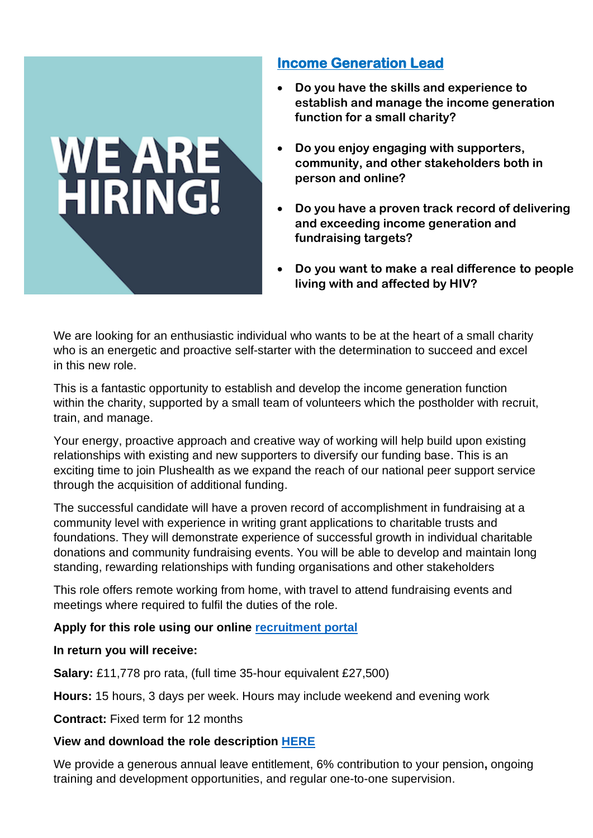## **Income Generation Lead**

- **Do you have the skills and experience to establish and manage the income generation function for a small charity?**
- **Do you enjoy engaging with supporters, community, and other stakeholders both in person and online?**
- **and exceeding income generation and**  • **Do you have a proven track record of delivering fundraising targets?**
- **Do you want to make a real difference to people living with and affected by HIV?**

We are looking for an enthusiastic individual who wants to be at the heart of a small charity who is an energetic and proactive self-starter with the determination to succeed and excel in this new role.

This is a fantastic opportunity to establish and develop the income generation function within the charity, supported by a small team of volunteers which the postholder with recruit, train, and manage.

Your energy, proactive approach and creative way of working will help build upon existing relationships with existing and new supporters to diversify our funding base. This is an exciting time to join Plushealth as we expand the reach of our national peer support service through the acquisition of additional funding.

The successful candidate will have a proven record of accomplishment in fundraising at a community level with experience in writing grant applications to charitable trusts and foundations. They will demonstrate experience of successful growth in individual charitable donations and community fundraising events. You will be able to develop and maintain long standing, rewarding relationships with funding organisations and other stakeholders

This role offers remote working from home, with travel to attend fundraising events and meetings where required to fulfil the duties of the role.

## **Apply for this role using our online [recruitment portal](https://www.smartsurvey.co.uk/s/StaffRecruitment/)**

## **In return you will receive:**

WE ARE

**Salary:** £11,778 pro rata, (full time 35-hour equivalent £27,500)

**Hours:** 15 hours, 3 days per week. Hours may include weekend and evening work

**Contract:** Fixed term for 12 months

## **View and download the role description [HERE](https://www.plushealth.org.uk/Income-generation-job.pdf)**

We provide a generous annual leave entitlement, 6% contribution to your pension**,** ongoing training and development opportunities, and regular one-to-one supervision.